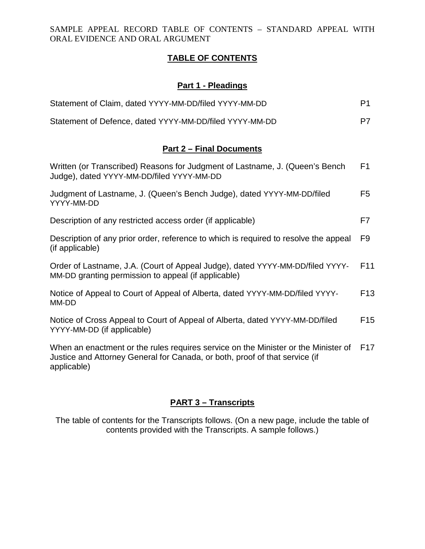SAMPLE APPEAL RECORD TABLE OF CONTENTS – STANDARD APPEAL WITH ORAL EVIDENCE AND ORAL ARGUMENT

### **TABLE OF CONTENTS**

# **Part 1 - Pleadings**

| Statement of Claim, dated YYYY-MM-DD/filed YYYY-MM-DD   | P1. |
|---------------------------------------------------------|-----|
| Statement of Defence, dated YYYY-MM-DD/filed YYYY-MM-DD | P7  |

### **Part 2 – Final Documents**

| Written (or Transcribed) Reasons for Judgment of Lastname, J. (Queen's Bench<br>Judge), dated YYYY-MM-DD/filed YYYY-MM-DD            | F <sub>1</sub>  |
|--------------------------------------------------------------------------------------------------------------------------------------|-----------------|
| Judgment of Lastname, J. (Queen's Bench Judge), dated YYYY-MM-DD/filed<br>YYYY-MM-DD                                                 | F5              |
| Description of any restricted access order (if applicable)                                                                           | F7              |
| Description of any prior order, reference to which is required to resolve the appeal<br>(if applicable)                              | F9              |
| Order of Lastname, J.A. (Court of Appeal Judge), dated YYYY-MM-DD/filed YYYY-<br>MM-DD granting permission to appeal (if applicable) | F <sub>11</sub> |
| Notice of Appeal to Court of Appeal of Alberta, dated YYYY-MM-DD/filed YYYY-<br>MM-DD                                                | F <sub>13</sub> |
| Notice of Cross Appeal to Court of Appeal of Alberta, dated YYYY-MM-DD/filed<br>YYYY-MM-DD (if applicable)                           | F <sub>15</sub> |
| When an enactment or the rules requires service on the Minister or the Minister of                                                   | F <sub>17</sub> |

Justice and Attorney General for Canada, or both, proof of that service (if applicable)

# **PART 3 – Transcripts**

The table of contents for the Transcripts follows. (On a new page, include the table of contents provided with the Transcripts. A sample follows.)